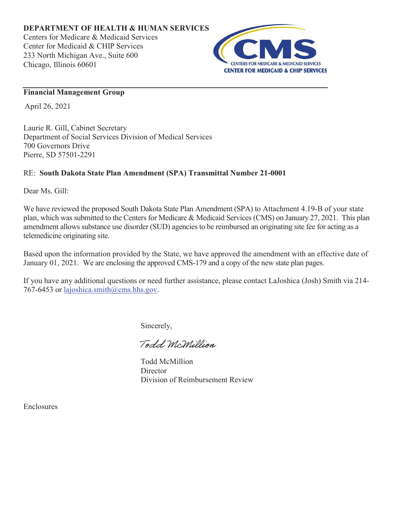

## **Financial Management Group**

April 26, 2021

Laurie R. Gill, Cabinet Secretary Department of Social Services Division of Medical Services 700 Governors Drive Pierre, SD 57501-2291

## RE: **South Dakota State Plan Amendment (SPA) Transmittal Number 21-0001**

Dear Ms. Gill:

We have reviewed the proposed South Dakota State Plan Amendment (SPA) to Attachment 4.19-B of your state plan, which was submitted to the Centers for Medicare & Medicaid Services (CMS) on January 27, 2021. This plan amendment allows substance use disorder (SUD) agencies to be reimbursed an originating site fee for acting as a telemedicine originating site.

Based upon the information provided by the State, we have approved the amendment with an effective date of January 01, 2021. We are enclosing the approved CMS-179 and a copy of the new state plan pages.

If you have any additional questions or need further assistance, please contact LaJoshica (Josh) Smith via 214- 767-6453 or lajoshica.smith@cms.hhs.gov.

Sincerely,

Todd McMillion

Todd McMillion **Director** Division of Reimbursement Review

Enclosures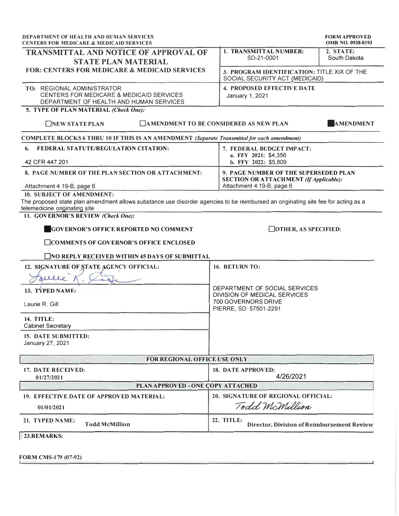| <b>DEPARTMENT OF HEALTH AND HUMAN SERVICES</b><br><b>CENTERS FOR MEDICARE &amp; MEDICAID SERVICES</b>                                                               | <b>FORM APPROVED</b><br>OMB NO. 0938-0193                                     |
|---------------------------------------------------------------------------------------------------------------------------------------------------------------------|-------------------------------------------------------------------------------|
| <b>TRANSMITTAL AND NOTICE OF APPROVAL OF</b><br><b>STATE PLAN MATERIAL</b>                                                                                          | 1. TRANSMITTAL NUMBER:<br>2. STATE:<br>SD-21-0001<br>South Dakota             |
| <b>FOR: CENTERS FOR MEDICARE &amp; MEDICAID SERVICES</b>                                                                                                            | 3. PROGRAM IDENTIFICATION: TITLE XIX OF THE<br>SOCIAL SECURITY ACT (MEDICAID) |
| TO: REGIONAL ADMINISTRATOR<br>CENTERS FOR MEDICARE & MEDICAID SERVICES<br>DEPARTMENT OF HEALTH AND HUMAN SERVICES                                                   | <b>4. PROPOSED EFFECTIVE DATE</b><br>January 1, 2021                          |
| 5. TYPE OF PLAN MATERIAL (Check One):                                                                                                                               |                                                                               |
| NEW STATE PLAN                                                                                                                                                      | <b>TAMENDMENT TO BE CONSIDERED AS NEW PLAN</b><br><b>AMENDMENT</b>            |
| COMPLETE BLOCKS 6 THRU 10 IF THIS IS AN AMENDMENT (Separate Transmittal for each amendment)                                                                         |                                                                               |
| FEDERAL STATUTE/REGULATION CITATION:<br>6.<br>42 CFR 447.201                                                                                                        | 7. FEDERAL BUDGET IMPACT:<br>a. FFY 2021: \$4,356<br>b. FFY 2022: \$5,809     |
| 8. PAGE NUMBER OF THE PLAN SECTION OR ATTACHMENT:                                                                                                                   | 9. PAGE NUMBER OF THE SUPERSEDED PLAN                                         |
| Attachment 4.19-B, page 6                                                                                                                                           | <b>SECTION OR ATTACHMENT (If Applicable):</b><br>Attachment 4.19-B, page 6    |
| 10. SUBJECT OF AMENDMENT:                                                                                                                                           |                                                                               |
| The proposed state plan amendment allows substance use disorder agencies to be reimbursed an originating site fee for acting as a<br>telemedicine originating site. |                                                                               |
| 11. GOVERNOR'S REVIEW (Check One):                                                                                                                                  |                                                                               |
| <b>GOVERNOR'S OFFICE REPORTED NO COMMENT</b>                                                                                                                        | $\Box$ OTHER, AS SPECIFIED:                                                   |
| □COMMENTS OF GOVERNOR'S OFFICE ENCLOSED                                                                                                                             |                                                                               |
| $\Box$ NO REPLY RECEIVED WITHIN 45 DAYS OF SUBMITTAL                                                                                                                |                                                                               |
| 12. SIGNATURE OF STATE AGENCY OFFICIAL:                                                                                                                             | 16. RETURN TO:                                                                |
| elle                                                                                                                                                                |                                                                               |
| 13. TYPED NAME:                                                                                                                                                     | DEPARTMENT OF SOCIAL SERVICES<br>DIVISION OF MEDICAL SERVICES                 |
| Laurie R. Gill                                                                                                                                                      | 700 GOVERNORS DRIVE<br>PIERRE, SD 57501-2291                                  |
| <b>14. TITLE:</b><br><b>Cabinet Secretary</b>                                                                                                                       |                                                                               |
| <b>15. DATE SUBMITTED:</b><br>January 27, 2021                                                                                                                      |                                                                               |
| FOR REGIONAL OFFICE USE ONLY                                                                                                                                        |                                                                               |
| <b>17. DATE RECEIVED:</b><br>01/27/2021                                                                                                                             | 18. DATE APPROVED:<br>4/26/2021                                               |
| PLAN APPROVED - ONE COPY ATTACHED                                                                                                                                   |                                                                               |
| 19. EFFECTIVE DATE OF APPROVED MATERIAL:                                                                                                                            | 20. SIGNATURE OF REGIONAL OFFICIAL:                                           |
| 01/01/2021                                                                                                                                                          | Todd McMillion                                                                |
| 21. TYPED NAME:<br><b>Todd McMillion</b>                                                                                                                            | 22. TITLE:<br><b>Director, Division of Reimbursement Review</b>               |
| 23.REMARKS:                                                                                                                                                         |                                                                               |

FORM CMS-179 (07-92)